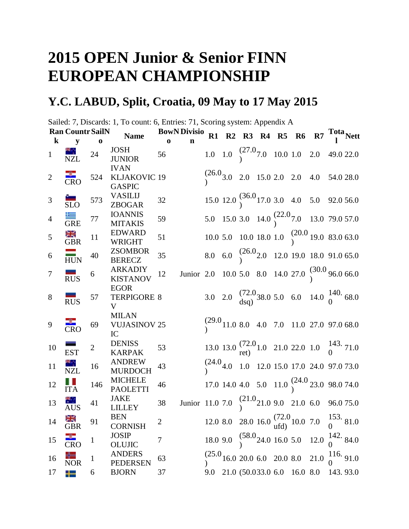## **2015 OPEN Junior & Senior FINN EUROPEAN CHAMPIONSHIP**

## **Y.C. LABUD, Split, Croatia, 09 May to 17 May 2015**

Sailed: 7, Discards: 1, To count: 6, Entries: 71, Scoring system: Appendix A

|                | <b>Ran Countr SailN</b>      |                | <b>Name</b>                                  |              | <b>BowN Divisio</b>                                                                   |  |  | R1 R2 R3 R4 R5 R6 R7 $\frac{\text{Total}}{1}$ Nett                              |  |  |
|----------------|------------------------------|----------------|----------------------------------------------|--------------|---------------------------------------------------------------------------------------|--|--|---------------------------------------------------------------------------------|--|--|
| $\bf k$        | y                            | $\bf{0}$       |                                              | $\bf{0}$     | n                                                                                     |  |  |                                                                                 |  |  |
| $\mathbf{1}$   | <b>NZL</b>                   | 24             | <b>JOSH</b><br><b>JUNIOR</b>                 | 56           |                                                                                       |  |  | 1.0 1.0 $\begin{pmatrix} 27.0 \\ 7.0 \end{pmatrix}$ 10.0 1.0 2.0 49.0 22.0      |  |  |
| $\overline{2}$ | ₩<br>$\overline{\text{CRO}}$ | 524            | <b>IVAN</b><br>KLJAKOVIC 19<br><b>GASPIC</b> |              |                                                                                       |  |  | $\binom{26.0}{1}$ 3.0 2.0 15.0 2.0 2.0 4.0 54.0 28.0                            |  |  |
| 3              | $\frac{1}{\text{SLO}}$       | 573            | <b>VASILIJ</b><br><b>ZBOGAR</b>              | 32           |                                                                                       |  |  | 15.0 12.0 $\binom{36.0}{9}$ 17.0 3.0 4.0 5.0 92.0 56.0                          |  |  |
| $\overline{4}$ | $\equiv$<br><b>GRE</b>       | 77             | <b>IOANNIS</b><br><b>MITAKIS</b>             | 59           |                                                                                       |  |  | 5.0 15.0 3.0 14.0 $\binom{22.0}{1}$ 7.0 13.0 79.0 57.0                          |  |  |
| 5              | GBR                          | 11             | <b>EDWARD</b><br><b>WRIGHT</b>               | 51           |                                                                                       |  |  | 10.0 5.0 10.0 18.0 1.0 $\binom{20.0}{9}$ 19.0 83.0 63.0                         |  |  |
| 6              | $\frac{1}{HUN}$              | 40             | <b>ZSOMBOR</b><br><b>BERECZ</b>              | 35           |                                                                                       |  |  | 8.0 6.0 $\begin{pmatrix} 26.0 & 12.0 & 19.0 & 18.0 & 91.0 & 65.0 \end{pmatrix}$ |  |  |
| 7              | RUS                          | 6              | <b>ARKADIY</b><br><b>KISTANOV</b>            | 12           | Junior 2.0 10.0 5.0 8.0 14.0 27.0 $\binom{30.0}{1}$ 96.0 66.0                         |  |  |                                                                                 |  |  |
| 8              | -<br><b>RUS</b>              | 57             | <b>EGOR</b><br><b>TERPIGORE 8</b><br>V       |              |                                                                                       |  |  | 3.0 2.0 $\frac{(72.0)}{dsq}$ 38.0 5.0 6.0 14.0 $\frac{140}{0}$ 68.0             |  |  |
| 9              | CRO                          | 69             | <b>MILAN</b><br><b>VUJASINOV 25</b><br>IC    |              |                                                                                       |  |  | $\binom{29.0}{11.0}$ 8.0 4.0 7.0 11.0 27.0 97.0 68.0                            |  |  |
| 10             | EST                          | $\overline{2}$ | <b>DENISS</b><br><b>KARPAK</b>               | 53           |                                                                                       |  |  | 13.0 13.0 $\frac{(72.0)}{ret}$ 1.0 21.0 22.0 1.0 $\frac{143}{0}$ 71.0           |  |  |
| 11             | NZL                          | 16             | <b>ANDREW</b><br><b>MURDOCH</b>              | 43           |                                                                                       |  |  | $\binom{(24.0)}{1.0}$ 1.0 12.0 15.0 17.0 24.0 97.0 73.0                         |  |  |
| 12             | Ш<br><b>ITA</b>              | 146            | <b>MICHELE</b><br><b>PAOLETTI</b>            | 46           |                                                                                       |  |  | 17.0 14.0 4.0 5.0 11.0 $\binom{24.0}{1}$ 23.0 98.0 74.0                         |  |  |
| 13             | ж.,<br><b>AUS</b>            | 41             | <b>JAKE</b><br><b>LILLEY</b>                 | 38           | Junior 11.0 7.0 $\begin{pmatrix} 21.0 & 9.0 & 21.0 & 6.0 & 96.0 & 75.0 \end{pmatrix}$ |  |  |                                                                                 |  |  |
| 14             | Ж<br><b>GBR</b>              | 91             | <b>BEN</b><br><b>CORNISH</b>                 | $\mathbf{2}$ |                                                                                       |  |  | 12.0 8.0 28.0 16.0 $\frac{(72.0)}{ufd}$ 10.0 7.0 $\frac{153}{0}$ 81.0           |  |  |
| 15             | $\overline{\text{CRO}}$      | $\mathbf{1}$   | <b>JOSIP</b><br><b>OLUJIC</b>                | $\tau$       |                                                                                       |  |  | 18.0 9.0 $\binom{58.0}{0}$ 24.0 16.0 5.0 12.0 $\binom{142}{0}$ 84.0             |  |  |
| 16             | <b>NOR</b>                   | $\mathbf{1}$   | <b>ANDERS</b><br><b>PEDERSEN</b>             | 63           |                                                                                       |  |  | $\binom{25.0}{0}$ 16.0 20.0 6.0 20.0 8.0 21.0 $\binom{116}{0}$ 91.0             |  |  |
| 17             | ╇                            | 6              | <b>BJORN</b>                                 | 37           |                                                                                       |  |  | 9.0 21.0 (50.033.0 6.0 16.0 8.0 143.93.0                                        |  |  |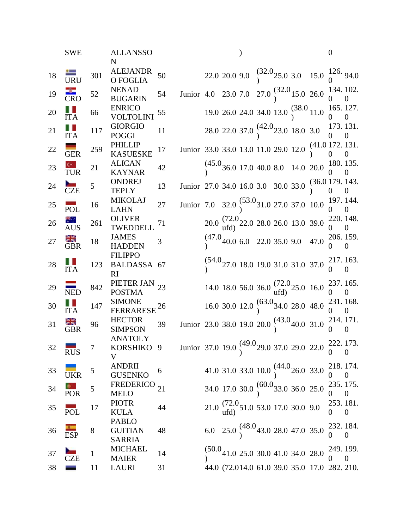|        | <b>SWE</b>             |             | <b>ALLANSSO</b><br>N                                                                                                   |    |                                                                                         |  |  |                                                                                        | $\boldsymbol{0}$            |                            |
|--------|------------------------|-------------|------------------------------------------------------------------------------------------------------------------------|----|-----------------------------------------------------------------------------------------|--|--|----------------------------------------------------------------------------------------|-----------------------------|----------------------------|
| 18     | $\frac{1}{\text{URU}}$ | 301         | <b>ALEJANDR</b><br>O FOGLIA                                                                                            | 50 |                                                                                         |  |  | 22.0 20.0 9.0 $\begin{pmatrix} 32.0 & 3.0 & 15.0 & 126 \\ 0 & 0 & 0 & 0 \end{pmatrix}$ |                             |                            |
| 19     | <b>CRO</b>             | 52          | <b>NENAD</b><br><b>BUGARIN</b>                                                                                         | 54 | Junior 4.0 23.0 7.0 27.0 $\binom{32.0}{9}$ 15.0 26.0 $\frac{134}{0}$ 102.               |  |  |                                                                                        |                             |                            |
| 20     | $\frac{1}{1}$          | 66          | <b>ENRICO</b><br>VOLTOLINI                                                                                             | 55 |                                                                                         |  |  | 19.0 26.0 24.0 34.0 13.0 $\binom{38.0}{9}$ 11.0 $\frac{165}{0}$ 127.                   |                             |                            |
| 21     | $\prod_{\text{ITA}}$   | 117         | <b>GIORGIO</b><br><b>POGGI</b>                                                                                         | 11 |                                                                                         |  |  | 28.0 22.0 37.0 $\binom{42.0}{9}$ 23.0 18.0 3.0                                         | 173. 131.<br>$\overline{0}$ |                            |
| 22     | <b>GER</b>             | 259         | <b>PHILLIP</b><br><b>KASUESKE</b>                                                                                      | 17 | Junior 33.0 33.0 13.0 11.0 29.0 12.0 $(41.0 \frac{172}{0} \cdot \frac{131}{0})$         |  |  |                                                                                        |                             |                            |
| 23     | $\frac{c}{TUR}$        | 21          | <b>ALICAN</b><br><b>KAYNAR</b>                                                                                         | 42 |                                                                                         |  |  | $(45.0_{36.0\ 17.0\ 40.0\ 8.0\ -14.0\ 20.0\  \, 180. \ 135.}_{0\quad 0}$               |                             |                            |
| 24     | CZE                    | 5           | <b>ONDREJ</b><br><b>TEPLY</b>                                                                                          | 13 | Junior 27.0 34.0 16.0 3.0 30.0 33.0 $\begin{array}{cc} (36.0 \ 179. \ 143. \end{array}$ |  |  |                                                                                        |                             |                            |
| 25     | POL                    | 16          | <b>MIKOLAJ</b><br><b>LAHN</b>                                                                                          | 27 | Junior 7.0 32.0 $\binom{53.0}{9}$ 31.0 27.0 37.0 10.0                                   |  |  |                                                                                        |                             | 197. 144.                  |
| 26     | AUS <sup></sup>        | 261         | <b>OLIVER</b><br>TWEDDELL                                                                                              | 71 |                                                                                         |  |  | $20.0\,\substack{(72.0\\ \text{ufd})}$ 22.0 28.0 26.0 13.0 39.0                        | 220. 148.<br>$\Omega$       | $\theta$                   |
| 27     | <b>RE</b><br>GBR       | 18          | <b>JAMES</b><br><b>HADDEN</b>                                                                                          | 3  |                                                                                         |  |  | (47.040.06.022.035.09.047.0                                                            | 0                           | 206. 159.<br>$\theta$      |
| 28     | $\prod_{\text{ITA}}$   | 123         | <b>FILIPPO</b><br><b>BALDASSA</b><br>RI                                                                                | 67 |                                                                                         |  |  | $\binom{54.0}{1}$ 27.0 18.0 19.0 31.0 31.0 37.0                                        | 217.163.<br>0               | $\theta$                   |
| 29     | ≡<br><b>NED</b>        | 842         | PIETER JAN 23<br><b>POSTMA</b>                                                                                         |    |                                                                                         |  |  | 14.0 18.0 56.0 36.0 $\frac{(72.0)}{utd}$ 25.0 16.0                                     | $\Omega$                    | 237.165.<br>$\overline{0}$ |
| 30     | H L<br><b>ITA</b>      | 147         | <b>SIMONE</b><br><b>FERRARESE</b>                                                                                      | 26 |                                                                                         |  |  | 16.0 30.0 12.0 $(63.0)$ 34.0 28.0 48.0                                                 | 231.168.                    |                            |
| 31     | ≥K<br><b>GBR</b>       | 96          | <b>HECTOR</b><br><b>SIMPSON</b>                                                                                        | 39 | Junior 23.0 38.0 19.0 20.0 $\binom{(43.0)}{1}$ 40.0 31.0 $\frac{214.171}{0.0}$          |  |  |                                                                                        |                             |                            |
| 32     | <b>RUS</b>             | $\tau$      | <b>ANATOLY</b><br><b>KORSHIKO</b> 9 Junior 37.0 19.0 $\binom{(49.0)}{1}$ 29.0 37.0 29.0 22.0 $\frac{222}{0}$ 173.<br>V |    |                                                                                         |  |  |                                                                                        |                             |                            |
| 33     | <b>UKR</b>             | 5           | <b>ANDRII</b><br><b>GUSENKO</b>                                                                                        | 6  |                                                                                         |  |  | 41.0 31.0 33.0 10.0 $(44.026.033.0$                                                    | $\overline{0}$              | 218.174.<br>$\overline{0}$ |
| $34\,$ | <b>POR</b>             | 5           | <b>FREDERICO</b><br><b>MELO</b>                                                                                        | 21 |                                                                                         |  |  | 34.0 17.0 30.0 $\bigg(60.033.036.025.0$                                                | 235.175.<br>$\Omega$        | $\mathbf{0}$               |
| 35     | <b>POL</b>             | 17          | <b>PIOTR</b><br>KULA                                                                                                   | 44 |                                                                                         |  |  | $21.0 \frac{(72.0}{\text{ufd}} 51.0 53.0 17.0 30.0 9.0$                                | $0 \qquad 0$                | 253.181.                   |
| 36     | ESP                    | 8           | <b>PABLO</b><br><b>GUITIAN</b><br><b>SARRIA</b>                                                                        | 48 |                                                                                         |  |  | 6.0 25.0 $\binom{48.0}{9}$ 43.0 28.0 47.0 35.0                                         | $\overline{0}$              | 232. 184.<br>$\theta$      |
| $37\,$ | CZE                    | $\mathbf 1$ | <b>MICHAEL</b><br><b>MAIER</b>                                                                                         | 14 |                                                                                         |  |  | $\binom{50.0}{1}$ 41.0 25.0 30.0 41.0 34.0 28.0 $\binom{249}{0}$ .                     |                             |                            |
| 38     |                        | 11          | LAURI                                                                                                                  | 31 |                                                                                         |  |  | 44.0 (72.014.0 61.0 39.0 35.0 17.0 282. 210.                                           |                             |                            |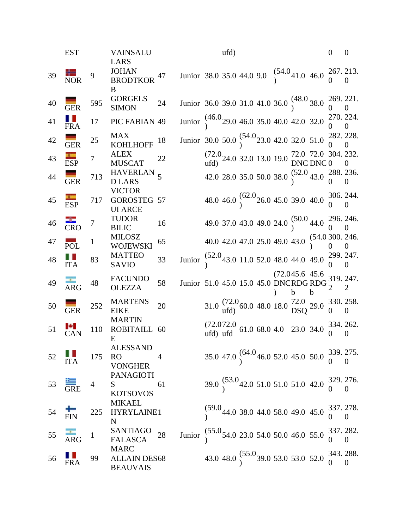|    | <b>EST</b>                            |                  | <b>VAINSALU</b>                                       |                |                                                                                                                                      |                                                                                                                        | ufd) |  |   |    | $\overline{0}$ | $\theta$                   |
|----|---------------------------------------|------------------|-------------------------------------------------------|----------------|--------------------------------------------------------------------------------------------------------------------------------------|------------------------------------------------------------------------------------------------------------------------|------|--|---|----|----------------|----------------------------|
| 39 | $\overline{\text{NOR}}$               | 9                | LARS<br>JOHAN BRODTKOR $^{\rm 47}$<br>B               |                | Junior 38.0 35.0 44.0 9.0 $\begin{pmatrix} 54.0 \\ 26.0 \end{pmatrix}$ 41.0 46.0 $\begin{pmatrix} 267 & 213. \\ 0 & 0 \end{pmatrix}$ |                                                                                                                        |      |  |   |    |                |                            |
| 40 | GER                                   | 595              | <b>GORGELS</b><br><b>SIMON</b>                        | 24             | Junior 36.0 39.0 31.0 41.0 36.0 $\binom{48.0}{9}$ 38.0 $\frac{269}{0}$ 221.                                                          |                                                                                                                        |      |  |   |    |                |                            |
| 41 | FRA                                   | 17               | PIC FABIAN 49                                         |                | Junior $\begin{pmatrix} 46.0 & 29.0 & 46.0 & 35.0 & 40.0 & 42.0 & 32.0 & 270. & 224. \\ 0 & 0 & 0 & 0 & 0 & 0 & 0 \end{pmatrix}$     |                                                                                                                        |      |  |   |    |                |                            |
| 42 | GER                                   | 25               | MAX<br><b>KOHLHOFF</b>                                | 18             | Junior 30.0 50.0 $\binom{54.0}{9}$ 23.0 42.0 32.0 51.0 $\binom{282}{0}$ 28.                                                          |                                                                                                                        |      |  |   |    |                |                            |
| 43 | ESP                                   | $\overline{7}$   | <b>ALEX</b><br><b>MUSCAT</b>                          | 22             |                                                                                                                                      | $(72.0)$ 24.0 32.0 13.0 19.0 $72.0$ 72.0 304. 232.<br>ufd)                                                             |      |  |   |    |                |                            |
| 44 | GER                                   | 713              | <b>HAVERLAN</b><br><b>DLARS</b>                       | 5              |                                                                                                                                      | 42.0 28.0 35.0 50.0 38.0 $\binom{52.0}{9}$ 43.0 $\binom{288}{0}$ 256.                                                  |      |  |   |    |                |                            |
| 45 | ESP                                   | 717              | <b>VICTOR</b><br>GOROSTEG 57<br><b>UI ARCE</b>        |                |                                                                                                                                      | 48.0 46.0 $\binom{62.0}{9}$ 26.0 45.0 39.0 40.0 $\binom{306}{0}$ 244.                                                  |      |  |   |    |                |                            |
| 46 | <b>CRO</b>                            | $\boldsymbol{7}$ | <b>TUDOR</b><br><b>BILIC</b>                          | 16             |                                                                                                                                      | 49.0 37.0 43.0 49.0 24.0 $\binom{50.0}{9}$ 44.0 $\binom{296}{0}$ 246.                                                  |      |  |   |    |                |                            |
| 47 | POL                                   | $\mathbf{1}$     | <b>MILOSZ</b><br>WOJEWSKI                             | 65             |                                                                                                                                      | 40.0 42.0 47.0 25.0 49.0 43.0 $(54.0300, 246.$                                                                         |      |  |   |    |                |                            |
| 48 | $\prod_{\text{ITA}}$                  | 83               | <b>MATTEO</b><br><b>SAVIO</b>                         | 33             | Junior $\binom{52.0}{1}$ 43.0 11.0 52.0 48.0 44.0 49.0 $\binom{299}{0}$ . 247.                                                       |                                                                                                                        |      |  |   |    |                |                            |
| 49 | ARG                                   | 48               | <b>FACUNDO</b><br><b>OLEZZA</b>                       | 58             | Junior 51.0 45.0 15.0 45.0 DNCRDG RDG $^{219.247.}_{2}$                                                                              |                                                                                                                        |      |  | b | b. |                |                            |
| 50 | <b>GER</b>                            | 252              | <b>MARTENS</b><br><b>EIKE</b>                         | 20             |                                                                                                                                      | 31.0 $\frac{(72.0)}{utd}$ 60.0 48.0 18.0 $\frac{72.0}{DSQ}$ 29.0 $\frac{330}{0}$ 258.                                  |      |  |   |    |                |                            |
| 51 | $\frac{1}{1}$ CAN                     | 110              | <b>MARTIN</b><br>ROBITAILL 60<br>E                    |                |                                                                                                                                      | $(72.072.0$ 61.0 68.0 4.0 23.0 34.0 $\frac{334}{0}$ $\frac{262}{0}$ .                                                  |      |  |   |    |                |                            |
| 52 | $\prod_{\text{ITA}}$                  |                  | <b>ALESSAND</b><br>175 RO<br><b>VONGHER</b>           | $\overline{4}$ |                                                                                                                                      | 35.0 47.0 $(64.0_{46.0} 52.0 45.0 50.0 \frac{339}{0} 275.$                                                             |      |  |   |    |                |                            |
|    | 53 $\overline{\overline{\text{GRE}}}$ | $\overline{4}$   | <b>PANAGIOTI</b><br>$S \sim$<br><b>KOTSOVOS</b>       | 61             |                                                                                                                                      | $39.0\begin{pmatrix} 53.0 \\ 2.0 \end{pmatrix}$ 42.0 51.0 51.0 42.0 $\begin{pmatrix} 329 & 276 \\ 0 & 0 \end{pmatrix}$ |      |  |   |    |                |                            |
| 54 | FIN                                   | 225              | <b>MIKAEL</b><br>HYRYLAINE1<br>N                      |                |                                                                                                                                      | $(59.044.038.044.058.049.045.0\substack{337.278.\\0}$                                                                  |      |  |   |    | $\overline{0}$ | $\Omega$                   |
| 55 | ARG                                   | $\overline{1}$   | SANTIAGO<br><b>FALASCA</b>                            | 28             | Junior $\int_{1}^{55.0} 54.0$ 23.0 54.0 50.0 46.0 55.0                                                                               |                                                                                                                        |      |  |   |    | $\overline{0}$ | 337.282.<br>$\overline{0}$ |
| 56 | FRA                                   | 99               | <b>MARC</b><br><b>ALLAIN DES68</b><br><b>BEAUVAIS</b> |                |                                                                                                                                      | 43.0 48.0 $\binom{55.0}{9}$ 39.0 53.0 53.0 52.0 $\frac{343}{0}$ $\frac{288}{0}$                                        |      |  |   |    |                |                            |